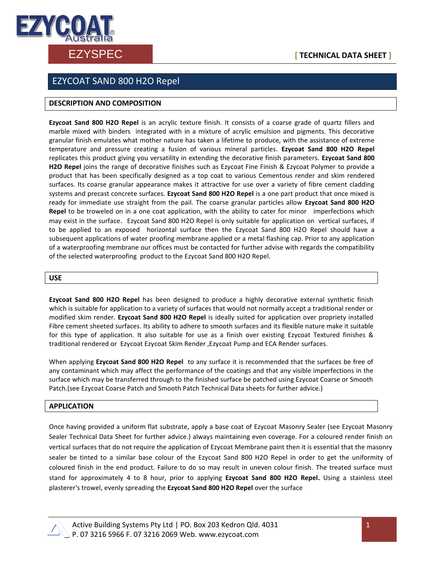

# EZYSPEC **[ TECHNICAL DATA SHEET ]**

## EZYCOAT SAND 800 H2O Repel

### **DESCRIPTION AND COMPOSITION**

**Ezycoat Sand 800 H2O Repel** is an acrylic texture finish. It consists of a coarse grade of quartz fillers and marble mixed with binders integrated with in a mixture of acrylic emulsion and pigments. This decorative granular finish emulates what mother nature has taken a lifetime to produce, with the assistance of extreme temperature and pressure creating a fusion of various mineral particles. **Ezycoat Sand 800 H2O Repel** replicates this product giving you versatility in extending the decorative finish parameters. **Ezycoat Sand 800 H2O Repel** joins the range of decorative finishes such as Ezycoat Fine Finish & Ezycoat Polymer to provide a product that has been specifically designed as a top coat to various Cementous render and skim rendered surfaces. Its coarse granular appearance makes it attractive for use over a variety of fibre cement cladding systems and precast concrete surfaces. **Ezycoat Sand 800 H2O Repel** is a one part product that once mixed is ready for immediate use straight from the pail. The coarse granular particles allow **Ezycoat Sand 800 H2O Repel** to be troweled on in a one coat application, with the ability to cater for minor imperfections which may exist in the surface. Ezycoat Sand 800 H2O Repel is only suitable for application on vertical surfaces, if to be applied to an exposed horizontal surface then the Ezycoat Sand 800 H2O Repel should have a subsequent applications of water proofing membrane applied or a metal flashing cap. Prior to any application of a waterproofing membrane our offices must be contacted for further advise with regards the compatibility of the selected waterproofing product to the Ezycoat Sand 800 H2O Repel.

#### **USE**

**Ezycoat Sand 800 H2O Repel** has been designed to produce a highly decorative external synthetic finish which is suitable for application to a variety of surfaces that would not normally accept a traditional render or modified skim render. **Ezycoat Sand 800 H2O Repel** is ideally suited for application over propriety installed Fibre cement sheeted surfaces. Its ability to adhere to smooth surfaces and its flexible nature make it suitable for this type of application. It also suitable for use as a finish over existing Ezycoat Textured finishes & traditional rendered or Ezycoat Ezycoat Skim Render ,Ezycoat Pump and ECA Render surfaces.

When applying **Ezycoat Sand 800 H2O Repel** to any surface it is recommended that the surfaces be free of any contaminant which may affect the performance of the coatings and that any visible imperfections in the surface which may be transferred through to the finished surface be patched using Ezycoat Coarse or Smooth Patch.(see Ezycoat Coarse Patch and Smooth Patch Technical Data sheets for further advice.)

#### **APPLICATION**

Once having provided a uniform flat substrate, apply a base coat of Ezycoat Masonry Sealer (see Ezycoat Masonry Sealer Technical Data Sheet for further advice.) always maintaining even coverage. For a coloured render finish on vertical surfaces that do not require the application of Ezycoat Membrane paint then it is essential that the masonry sealer be tinted to a similar base colour of the Ezycoat Sand 800 H2O Repel in order to get the uniformity of coloured finish in the end product. Failure to do so may result in uneven colour finish. The treated surface must stand for approximately 4 to 8 hour, prior to applying **Ezycoat Sand 800 H2O Repel.** Using a stainless steel plasterer's trowel, evenly spreading the **Ezycoat Sand 800 H2O Repel** over the surface



 Active Building Systems Pty Ltd | PO. Box 203 Kedron Qld. 4031 P. 07 3216 5966 F. 07 3216 2069 Web. www.ezycoat.com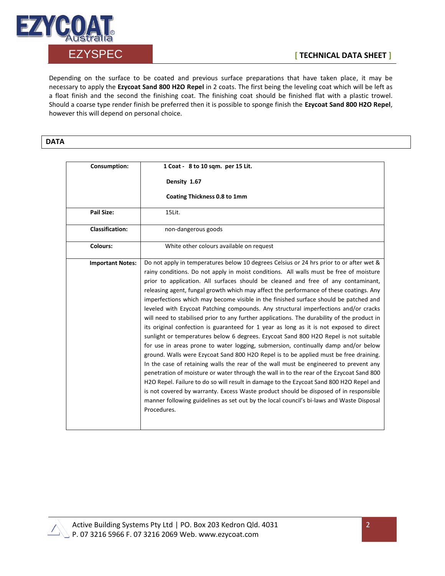

Depending on the surface to be coated and previous surface preparations that have taken place, it may be necessary to apply the **Ezycoat Sand 800 H2O Repel** in 2 coats. The first being the leveling coat which will be left as a float finish and the second the finishing coat. The finishing coat should be finished flat with a plastic trowel. Should a coarse type render finish be preferred then it is possible to sponge finish the **Ezycoat Sand 800 H2O Repel**, however this will depend on personal choice.

## **DATA**

| <b>Consumption:</b>     | 1 Coat - 8 to 10 sqm. per 15 Lit.                                                                                                                                                                                                                                                                                                                                                                                                                                                                                                                                                                                                                                                                                                                                                                                                                                                                                                                                                                                                                                                                                                                                                                                                                                                                                                                                                                                                                                                                    |
|-------------------------|------------------------------------------------------------------------------------------------------------------------------------------------------------------------------------------------------------------------------------------------------------------------------------------------------------------------------------------------------------------------------------------------------------------------------------------------------------------------------------------------------------------------------------------------------------------------------------------------------------------------------------------------------------------------------------------------------------------------------------------------------------------------------------------------------------------------------------------------------------------------------------------------------------------------------------------------------------------------------------------------------------------------------------------------------------------------------------------------------------------------------------------------------------------------------------------------------------------------------------------------------------------------------------------------------------------------------------------------------------------------------------------------------------------------------------------------------------------------------------------------------|
|                         | Density 1.67                                                                                                                                                                                                                                                                                                                                                                                                                                                                                                                                                                                                                                                                                                                                                                                                                                                                                                                                                                                                                                                                                                                                                                                                                                                                                                                                                                                                                                                                                         |
|                         | Coating Thickness 0.8 to 1mm                                                                                                                                                                                                                                                                                                                                                                                                                                                                                                                                                                                                                                                                                                                                                                                                                                                                                                                                                                                                                                                                                                                                                                                                                                                                                                                                                                                                                                                                         |
| <b>Pail Size:</b>       | 15Lit.                                                                                                                                                                                                                                                                                                                                                                                                                                                                                                                                                                                                                                                                                                                                                                                                                                                                                                                                                                                                                                                                                                                                                                                                                                                                                                                                                                                                                                                                                               |
| <b>Classification:</b>  | non-dangerous goods                                                                                                                                                                                                                                                                                                                                                                                                                                                                                                                                                                                                                                                                                                                                                                                                                                                                                                                                                                                                                                                                                                                                                                                                                                                                                                                                                                                                                                                                                  |
| Colours:                | White other colours available on request                                                                                                                                                                                                                                                                                                                                                                                                                                                                                                                                                                                                                                                                                                                                                                                                                                                                                                                                                                                                                                                                                                                                                                                                                                                                                                                                                                                                                                                             |
| <b>Important Notes:</b> | Do not apply in temperatures below 10 degrees Celsius or 24 hrs prior to or after wet &<br>rainy conditions. Do not apply in moist conditions. All walls must be free of moisture<br>prior to application. All surfaces should be cleaned and free of any contaminant,<br>releasing agent, fungal growth which may affect the performance of these coatings. Any<br>imperfections which may become visible in the finished surface should be patched and<br>leveled with Ezycoat Patching compounds. Any structural imperfections and/or cracks<br>will need to stabilised prior to any further applications. The durability of the product in<br>its original confection is guaranteed for 1 year as long as it is not exposed to direct<br>sunlight or temperatures below 6 degrees. Ezycoat Sand 800 H2O Repel is not suitable<br>for use in areas prone to water logging, submersion, continually damp and/or below<br>ground. Walls were Ezycoat Sand 800 H2O Repel is to be applied must be free draining.<br>In the case of retaining walls the rear of the wall must be engineered to prevent any<br>penetration of moisture or water through the wall in to the rear of the Ezycoat Sand 800<br>H2O Repel. Failure to do so will result in damage to the Ezycoat Sand 800 H2O Repel and<br>is not covered by warranty. Excess Waste product should be disposed of in responsible<br>manner following guidelines as set out by the local council's bi-laws and Waste Disposal<br>Procedures. |